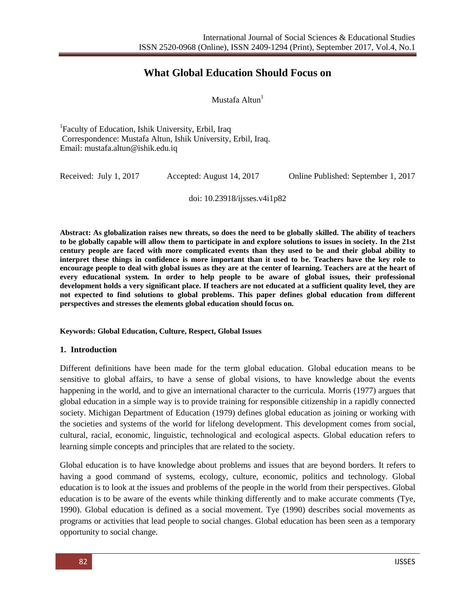# **What Global Education Should Focus on**

Mustafa Altun $<sup>1</sup>$ </sup>

<sup>1</sup>Faculty of Education, Ishik University, Erbil, Iraq Correspondence: Mustafa Altun, Ishik University, Erbil, Iraq. Email: mustafa.altun@ishik.edu.iq

Received: July 1, 2017 Accepted: August 14, 2017 Online Published: September 1, 2017

doi: 10.23918/ijsses.v4i1p82

**Abstract: As globalization raises new threats, so does the need to be globally skilled. The ability of teachers to be globally capable will allow them to participate in and explore solutions to issues in society. In the 21st century people are faced with more complicated events than they used to be and their global ability to interpret these things in confidence is more important than it used to be. Teachers have the key role to encourage people to deal with global issues as they are at the center of learning. Teachers are at the heart of every educational system. In order to help people to be aware of global issues, their professional development holds a very significant place. If teachers are not educated at a sufficient quality level, they are not expected to find solutions to global problems. This paper defines global education from different perspectives and stresses the elements global education should focus on.**

#### **Keywords: Global Education, Culture, Respect, Global Issues**

#### **1. Introduction**

Different definitions have been made for the term global education. Global education means to be sensitive to global affairs, to have a sense of global visions, to have knowledge about the events happening in the world, and to give an international character to the curricula. Morris (1977) argues that global education in a simple way is to provide training for responsible citizenship in a rapidly connected society. Michigan Department of Education (1979) defines global education as joining or working with the societies and systems of the world for lifelong development. This development comes from social, cultural, racial, economic, linguistic, technological and ecological aspects. Global education refers to learning simple concepts and principles that are related to the society.

Global education is to have knowledge about problems and issues that are beyond borders. It refers to having a good command of systems, ecology, culture, economic, politics and technology. Global education is to look at the issues and problems of the people in the world from their perspectives. Global education is to be aware of the events while thinking differently and to make accurate comments (Tye, 1990). Global education is defined as a social movement. Tye (1990) describes social movements as programs or activities that lead people to social changes. Global education has been seen as a temporary opportunity to social change.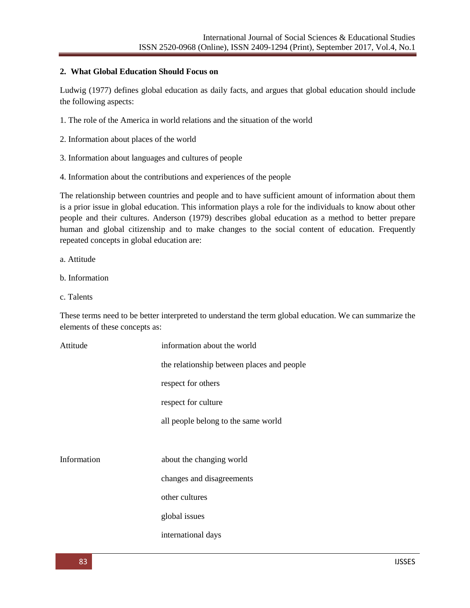#### **2. What Global Education Should Focus on**

Ludwig (1977) defines global education as daily facts, and argues that global education should include the following aspects:

- 1. The role of the America in world relations and the situation of the world
- 2. Information about places of the world
- 3. Information about languages and cultures of people
- 4. Information about the contributions and experiences of the people

The relationship between countries and people and to have sufficient amount of information about them is a prior issue in global education. This information plays a role for the individuals to know about other people and their cultures. Anderson (1979) describes global education as a method to better prepare human and global citizenship and to make changes to the social content of education. Frequently repeated concepts in global education are:

a. Attitude

- b. Information
- c. Talents

These terms need to be better interpreted to understand the term global education. We can summarize the elements of these concepts as:

| Attitude    | information about the world                |
|-------------|--------------------------------------------|
|             | the relationship between places and people |
|             | respect for others                         |
|             | respect for culture                        |
|             | all people belong to the same world        |
|             |                                            |
| Information | about the changing world                   |
|             | changes and disagreements                  |
|             | other cultures                             |
|             | global issues                              |
|             | international days                         |
|             |                                            |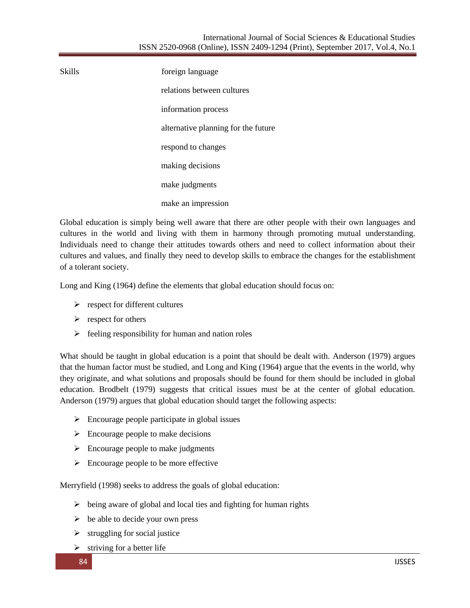Skills foreign language relations between cultures information process alternative planning for the future respond to changes making decisions make judgments make an impression

Global education is simply being well aware that there are other people with their own languages and cultures in the world and living with them in harmony through promoting mutual understanding. Individuals need to change their attitudes towards others and need to collect information about their cultures and values, and finally they need to develop skills to embrace the changes for the establishment of a tolerant society.

Long and King (1964) define the elements that global education should focus on:

- $\triangleright$  respect for different cultures
- $\triangleright$  respect for others
- $\triangleright$  feeling responsibility for human and nation roles

What should be taught in global education is a point that should be dealt with. Anderson (1979) argues that the human factor must be studied, and Long and King (1964) argue that the events in the world, why they originate, and what solutions and proposals should be found for them should be included in global education. Brodbelt (1979) suggests that critical issues must be at the center of global education. Anderson (1979) argues that global education should target the following aspects:

- $\triangleright$  Encourage people participate in global issues
- $\triangleright$  Encourage people to make decisions
- $\triangleright$  Encourage people to make judgments
- $\triangleright$  Encourage people to be more effective

Merryfield (1998) seeks to address the goals of global education:

- $\triangleright$  being aware of global and local ties and fighting for human rights
- $\triangleright$  be able to decide your own press
- $\triangleright$  struggling for social justice
- $\triangleright$  striving for a better life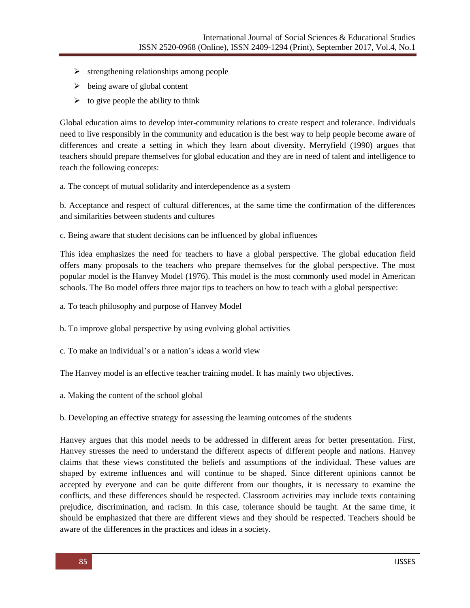- $\triangleright$  strengthening relationships among people
- $\triangleright$  being aware of global content
- $\triangleright$  to give people the ability to think

Global education aims to develop inter-community relations to create respect and tolerance. Individuals need to live responsibly in the community and education is the best way to help people become aware of differences and create a setting in which they learn about diversity. Merryfield (1990) argues that teachers should prepare themselves for global education and they are in need of talent and intelligence to teach the following concepts:

a. The concept of mutual solidarity and interdependence as a system

b. Acceptance and respect of cultural differences, at the same time the confirmation of the differences and similarities between students and cultures

c. Being aware that student decisions can be influenced by global influences

This idea emphasizes the need for teachers to have a global perspective. The global education field offers many proposals to the teachers who prepare themselves for the global perspective. The most popular model is the Hanvey Model (1976). This model is the most commonly used model in American schools. The Bo model offers three major tips to teachers on how to teach with a global perspective:

- a. To teach philosophy and purpose of Hanvey Model
- b. To improve global perspective by using evolving global activities
- c. To make an individual's or a nation's ideas a world view

The Hanvey model is an effective teacher training model. It has mainly two objectives.

a. Making the content of the school global

b. Developing an effective strategy for assessing the learning outcomes of the students

Hanvey argues that this model needs to be addressed in different areas for better presentation. First, Hanvey stresses the need to understand the different aspects of different people and nations. Hanvey claims that these views constituted the beliefs and assumptions of the individual. These values are shaped by extreme influences and will continue to be shaped. Since different opinions cannot be accepted by everyone and can be quite different from our thoughts, it is necessary to examine the conflicts, and these differences should be respected. Classroom activities may include texts containing prejudice, discrimination, and racism. In this case, tolerance should be taught. At the same time, it should be emphasized that there are different views and they should be respected. Teachers should be aware of the differences in the practices and ideas in a society.